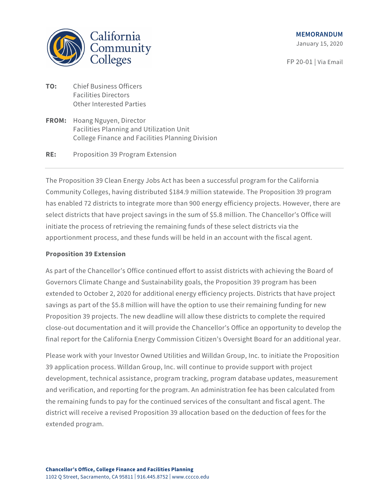

January 15, 2020

FP 20-01 | Via Email

- **TO:** Chief Business Officers Facilities Directors Other Interested Parties
- **FROM:** Hoang Nguyen, Director Facilities Planning and Utilization Unit College Finance and Facilities Planning Division

## **RE:** Proposition 39 Program Extension

The Proposition 39 Clean Energy Jobs Act has been a successful program for the California Community Colleges, having distributed \$184.9 million statewide. The Proposition 39 program has enabled 72 districts to integrate more than 900 energy efficiency projects. However, there are select districts that have project savings in the sum of \$5.8 million. The Chancellor's Office will initiate the process of retrieving the remaining funds of these select districts via the apportionment process, and these funds will be held in an account with the fiscal agent.

## **Proposition 39 Extension**

As part of the Chancellor's Office continued effort to assist districts with achieving the Board of Governors Climate Change and Sustainability goals, the Proposition 39 program has been extended to October 2, 2020 for additional energy efficiency projects. Districts that have project savings as part of the \$5.8 million will have the option to use their remaining funding for new Proposition 39 projects. The new deadline will allow these districts to complete the required close-out documentation and it will provide the Chancellor's Office an opportunity to develop the final report for the California Energy Commission Citizen's Oversight Board for an additional year.

Please work with your Investor Owned Utilities and Willdan Group, Inc. to initiate the Proposition 39 application process. Willdan Group, Inc. will continue to provide support with project development, technical assistance, program tracking, program database updates, measurement and verification, and reporting for the program. An administration fee has been calculated from the remaining funds to pay for the continued services of the consultant and fiscal agent. The district will receive a revised Proposition 39 allocation based on the deduction of fees for the extended program.